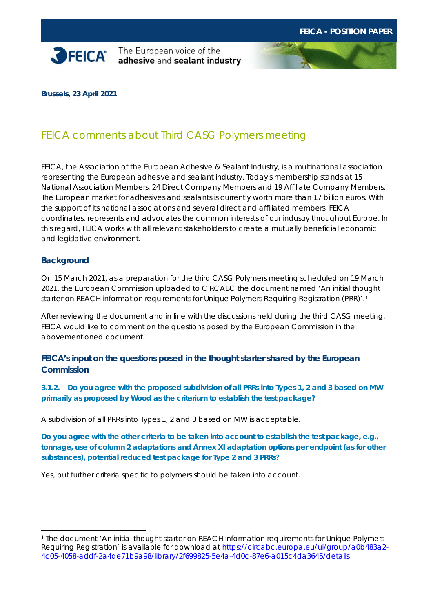

**SPEICA** The European voice of the

**Brussels, 23 April 2021**

# FEICA comments about Third CASG Polymers meeting

FEICA, the Association of the European Adhesive & Sealant Industry, is a multinational association representing the European adhesive and sealant industry. Today's membership stands at 15 National Association Members, 24 Direct Company Members and 19 Affiliate Company Members. The European market for adhesives and sealants is currently worth more than 17 billion euros. With the support of its national associations and several direct and affiliated members, FEICA coordinates, represents and advocates the common interests of our industry throughout Europe. In this regard, FEICA works with all relevant stakeholders to create a mutually beneficial economic and legislative environment.

#### **Background**

On 15 March 2021, as a preparation for the third CASG Polymers meeting scheduled on 19 March 2021, the European Commission uploaded to CIRCABC the document named 'An initial thought starter on REACH information requirements for Unique Polymers Requiring Registration (PRR)'.<sup>[1](#page-0-0)</sup>

After reviewing the document and in line with the discussions held during the third CASG meeting, FEICA would like to comment on the questions posed by the European Commission in the abovementioned document.

# **FEICA's input on the questions posed in the thought starter shared by the European Commission**

**3.1.2. Do you agree with the proposed subdivision of all PRRs into Types 1, 2 and 3 based on MW primarily as proposed by Wood as the criterium to establish the test package?**

A subdivision of all PRRs into Types 1, 2 and 3 based on MW is acceptable.

**Do you agree with the other criteria to be taken into account to establish the test package, e.g., tonnage, use of column 2 adaptations and Annex XI adaptation options per endpoint (as for other substances), potential reduced test package for Type 2 and 3 PRRs?**

Yes, but further criteria specific to polymers should be taken into account.

<span id="page-0-0"></span><sup>1</sup> The document 'An initial thought starter on REACH information requirements for Unique Polymers Requiring Registration' is available for download at [https://circabc.europa.eu/ui/group/a0b483a2-](https://circabc.europa.eu/ui/group/a0b483a2-4c05-4058-addf-2a4de71b9a98/library/2f699825-5e4a-4d0c-87e6-a015c4da3645/details) [4c05-4058-addf-2a4de71b9a98/library/2f699825-5e4a-4d0c-87e6-a015c4da3645/details](https://circabc.europa.eu/ui/group/a0b483a2-4c05-4058-addf-2a4de71b9a98/library/2f699825-5e4a-4d0c-87e6-a015c4da3645/details)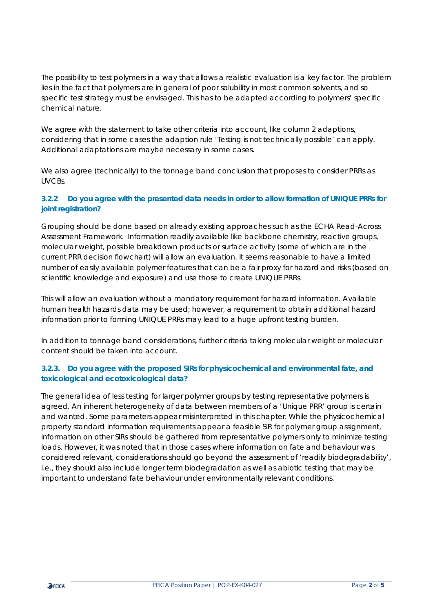The possibility to test polymers in a way that allows a realistic evaluation is a key factor. The problem lies in the fact that polymers are in general of poor solubility in most common solvents, and so specific test strategy must be envisaged. This has to be adapted according to polymers' specific chemical nature.

We agree with the statement to take other criteria into account, like column 2 adaptions, considering that in some cases the adaption rule 'Testing is not technically possible' can apply. Additional adaptations are maybe necessary in some cases.

We also agree (technically) to the tonnage band conclusion that proposes to consider PRRs as UVCBs.

### **3.2.2 Do you agree with the presented data needs in order to allow formation of UNIQUE PRRs for joint registration?**

Grouping should be done based on already existing approaches such as the ECHA Read-Across Assessment Framework. Information readily available like backbone chemistry, reactive groups, molecular weight, possible breakdown products or surface activity (some of which are in the current PRR decision flowchart) will allow an evaluation. It seems reasonable to have a limited number of easily available polymer features that can be a fair proxy for hazard and risks (based on scientific knowledge and exposure) and use those to create UNIQUE PRRs.

This will allow an evaluation without a mandatory requirement for hazard information. Available human health hazards data may be used; however, a requirement to obtain additional hazard information prior to forming UNIQUE PRRs may lead to a huge upfront testing burden.

In addition to tonnage band considerations, further criteria taking molecular weight or molecular content should be taken into account.

#### **3.2.3. Do you agree with the proposed SIRs for physicochemical and environmental fate, and toxicological and ecotoxicological data?**

The general idea of less testing for larger polymer groups by testing representative polymers is agreed. An inherent heterogeneity of data between members of a 'Unique PRR' group is certain and wanted. Some parameters appear misinterpreted in this chapter. While the physicochemical property standard information requirements appear a feasible SIR for polymer group assignment, information on other SIRs should be gathered from representative polymers only to minimize testing loads. However, it was noted that in those cases where information on fate and behaviour was considered relevant, considerations should go beyond the assessment of 'readily biodegradability', i.e., they should also include longer term biodegradation as well as abiotic testing that may be important to understand fate behaviour under environmentally relevant conditions.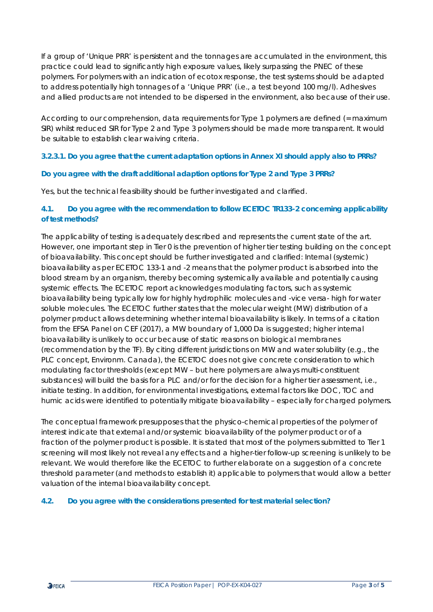If a group of 'Unique PRR' is persistent and the tonnages are accumulated in the environment, this practice could lead to significantly high exposure values, likely surpassing the PNEC of these polymers. For polymers with an indication of ecotox response, the test systems should be adapted to address potentially high tonnages of a 'Unique PRR' (i.e., a test beyond 100 mg/l). Adhesives and allied products are not intended to be dispersed in the environment, also because of their use.

According to our comprehension, data requirements for Type 1 polymers are defined (= maximum SIR) whilst reduced SIR for Type 2 and Type 3 polymers should be made more transparent. It would be suitable to establish clear waiving criteria.

#### **3.2.3.1. Do you agree that the current adaptation options in Annex XI should apply also to PRRs?**

#### **Do you agree with the draft additional adaption options for Type 2 and Type 3 PRRs?**

Yes, but the technical feasibility should be further investigated and clarified.

### **4.1. Do you agree with the recommendation to follow ECETOC TR133-2 concerning applicability of test methods?**

The applicability of testing is adequately described and represents the current state of the art. However, one important step in Tier 0 is the prevention of higher tier testing building on the concept of bioavailability. This concept should be further investigated and clarified: Internal (systemic) bioavailability as per ECETOC 133-1 and -2 means that the polymer product is absorbed into the blood stream by an organism, thereby becoming systemically available and potentially causing systemic effects. The ECETOC report acknowledges modulating factors, such as systemic bioavailability being typically low for highly hydrophilic molecules and -vice versa- high for water soluble molecules. The ECETOC further states that the molecular weight (MW) distribution of a polymer product allows determining whether internal bioavailability is likely. In terms of a citation from the EFSA Panel on CEF (2017), a MW boundary of 1,000 Da is suggested; higher internal bioavailability is unlikely to occur because of static reasons on biological membranes (recommendation by the TF). By citing different jurisdictions on MW and water solubility (e.g., the PLC concept, Environm. Canada), the ECETOC does not give concrete consideration to which modulating factor thresholds (except MW – but here polymers are always multi-constituent substances) will build the basis for a PLC and/or for the decision for a higher tier assessment, i.e., initiate testing. In addition, for environmental investigations, external factors like DOC, TOC and humic acids were identified to potentially mitigate bioavailability – especially for charged polymers.

The conceptual framework presupposes that the physico-chemical properties of the polymer of interest indicate that external and/or systemic bioavailability of the polymer product or of a fraction of the polymer product is possible. It is stated that most of the polymers submitted to Tier 1 screening will most likely not reveal any effects and a higher-tier follow-up screening is unlikely to be relevant. We would therefore like the ECETOC to further elaborate on a suggestion of a concrete threshold parameter (and methods to establish it) applicable to polymers that would allow a better valuation of the internal bioavailability concept.

#### **4.2. Do you agree with the considerations presented for test material selection?**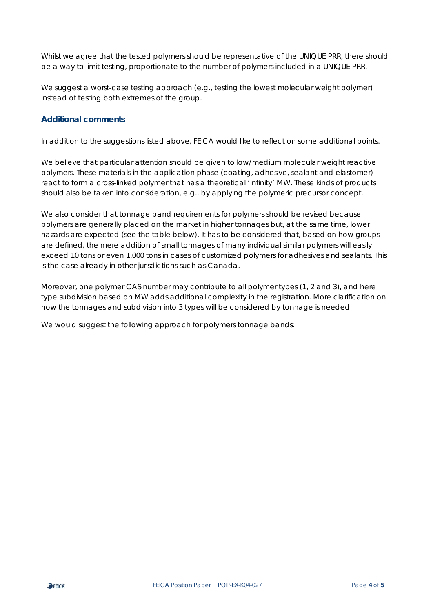Whilst we agree that the tested polymers should be representative of the UNIQUE PRR, there should be a way to limit testing, proportionate to the number of polymers included in a UNIQUE PRR.

We suggest a worst-case testing approach (e.g., testing the lowest molecular weight polymer) instead of testing both extremes of the group.

# **Additional comments**

In addition to the suggestions listed above, FEICA would like to reflect on some additional points.

We believe that particular attention should be given to low/medium molecular weight reactive polymers. These materials in the application phase (coating, adhesive, sealant and elastomer) react to form a cross-linked polymer that has a theoretical 'infinity' MW. These kinds of products should also be taken into consideration, e.g., by applying the polymeric precursor concept.

We also consider that tonnage band requirements for polymers should be revised because polymers are generally placed on the market in higher tonnages but, at the same time, lower hazards are expected (see the table below). It has to be considered that, based on how groups are defined, the mere addition of small tonnages of many individual similar polymers will easily exceed 10 tons or even 1,000 tons in cases of customized polymers for adhesives and sealants. This is the case already in other jurisdictions such as Canada.

Moreover, one polymer CAS number may contribute to all polymer types (1, 2 and 3), and here type subdivision based on MW adds additional complexity in the registration. More clarification on how the tonnages and subdivision into 3 types will be considered by tonnage is needed.

We would suggest the following approach for polymers tonnage bands: